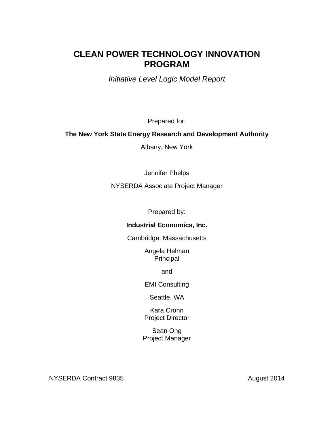## **CLEAN POWER TECHNOLOGY INNOVATION PROGRAM**

*Initiative Level Logic Model Report* 

Prepared for:

### **The New York State Energy Research and Development Authority**

Albany, New York

Jennifer Phelps

NYSERDA Associate Project Manager

Prepared by:

### **Industrial Economics, Inc.**

Cambridge, Massachusetts

Angela Helman Principal

and

EMI Consulting

Seattle, WA

Kara Crohn Project Director

Sean Ong Project Manager

NYSERDA Contract 9835 August 2014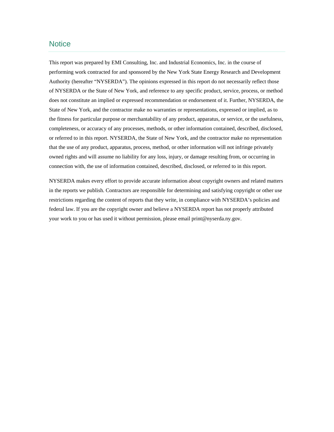#### **Notice**

This report was prepared by EMI Consulting, Inc. and Industrial Economics, Inc. in the course of performing work contracted for and sponsored by the New York State Energy Research and Development Authority (hereafter "NYSERDA"). The opinions expressed in this report do not necessarily reflect those of NYSERDA or the State of New York, and reference to any specific product, service, process, or method does not constitute an implied or expressed recommendation or endorsement of it. Further, NYSERDA, the State of New York, and the contractor make no warranties or representations, expressed or implied, as to the fitness for particular purpose or merchantability of any product, apparatus, or service, or the usefulness, completeness, or accuracy of any processes, methods, or other information contained, described, disclosed, or referred to in this report. NYSERDA, the State of New York, and the contractor make no representation that the use of any product, apparatus, process, method, or other information will not infringe privately owned rights and will assume no liability for any loss, injury, or damage resulting from, or occurring in connection with, the use of information contained, described, disclosed, or referred to in this report.

 your work to you or has used it without permission, please email print@nyserda.ny.gov. NYSERDA makes every effort to provide accurate information about copyright owners and related matters in the reports we publish. Contractors are responsible for determining and satisfying copyright or other use restrictions regarding the content of reports that they write, in compliance with NYSERDA's policies and federal law. If you are the copyright owner and believe a NYSERDA report has not properly attributed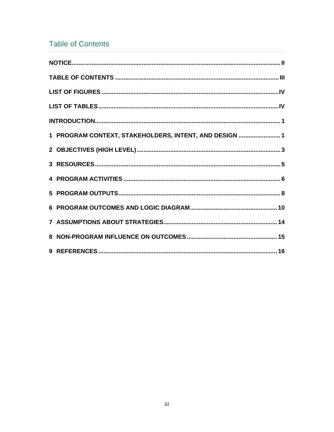## **Table of Contents**

| 1 PROGRAM CONTEXT, STAKEHOLDERS, INTENT, AND DESIGN  1 |
|--------------------------------------------------------|
|                                                        |
|                                                        |
|                                                        |
|                                                        |
|                                                        |
|                                                        |
|                                                        |
|                                                        |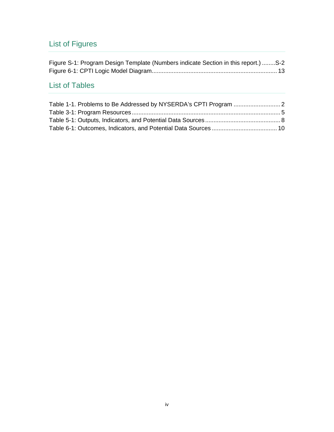# List of Figures

| Figure S-1: Program Design Template (Numbers indicate Section in this report.)  S-2 |  |
|-------------------------------------------------------------------------------------|--|
|                                                                                     |  |

## List of Tables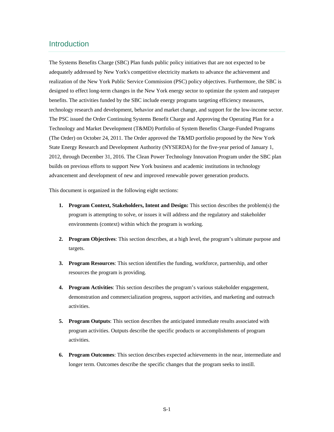### **Introduction**

 The Systems Benefits Charge (SBC) Plan funds public policy initiatives that are not expected to be The PSC issued the Order Continuing Systems Benefit Charge and Approving the Operating Plan for a (The Order) on October 24, 2011. The Order approved the T&MD portfolio proposed by the New York adequately addressed by New York's competitive electricity markets to advance the achievement and realization of the New York Public Service Commission (PSC) policy objectives. Furthermore, the SBC is designed to effect long-term changes in the New York energy sector to optimize the system and ratepayer benefits. The activities funded by the SBC include energy programs targeting efficiency measures, technology research and development, behavior and market change, and support for the low-income sector. Technology and Market Development (T&MD) Portfolio of System Benefits Charge-Funded Programs State Energy Research and Development Authority (NYSERDA) for the five-year period of January 1, 2012, through December 31, 2016. The Clean Power Technology Innovation Program under the SBC plan builds on previous efforts to support New York business and academic institutions in technology advancement and development of new and improved renewable power generation products.

This document is organized in the following eight sections:

- **1. Program Context, Stakeholders, Intent and Design:** This section describes the problem(s) the program is attempting to solve, or issues it will address and the regulatory and stakeholder environments (context) within which the program is working.
- **2. Program Objectives**: This section describes, at a high level, the program's ultimate purpose and targets.
- **3. Program Resources**: This section identifies the funding, workforce, partnership, and other resources the program is providing.
- **4. Program Activities**: This section describes the program's various stakeholder engagement, demonstration and commercialization progress, support activities, and marketing and outreach activities.
- **5. Program Outputs**: This section describes the anticipated immediate results associated with program activities. Outputs describe the specific products or accomplishments of program activities.
- **6. Program Outcomes**: This section describes expected achievements in the near, intermediate and longer term. Outcomes describe the specific changes that the program seeks to instill.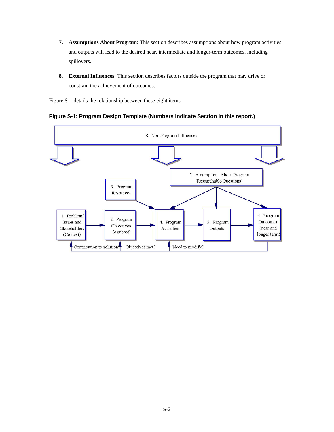- **7. Assumptions About Program**: This section describes assumptions about how program activities and outputs will lead to the desired near, intermediate and longer-term outcomes, including spillovers.
- **8. External Influences**: This section describes factors outside the program that may drive or constrain the achievement of outcomes.

Figure S-1 details the relationship between these eight items.



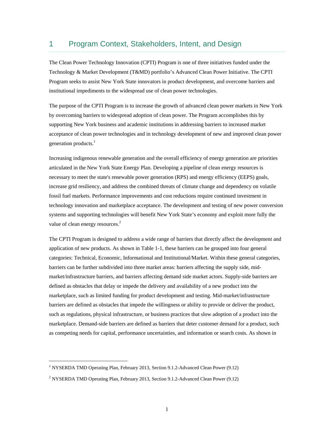### 1 Program Context, Stakeholders, Intent, and Design

 institutional impediments to the widespread use of clean power technologies. The Clean Power Technology Innovation (CPTI) Program is one of three initiatives funded under the Technology & Market Development (T&MD) portfolio's Advanced Clean Power Initiative. The CPTI Program seeks to assist New York State innovators in product development, and overcome barriers and

The purpose of the CPTI Program is to increase the growth of advanced clean power markets in New York by overcoming barriers to widespread adoption of clean power. The Program accomplishes this by supporting New York business and academic institutions in addressing barriers to increased market acceptance of clean power technologies and in technology development of new and improved clean power generation products.<sup>1</sup>

 necessary to meet the state's renewable power generation (RPS) and energy efficiency (EEPS) goals, Increasing indigenous renewable generation and the overall efficiency of energy generation are priorities articulated in the New York State Energy Plan. Developing a pipeline of clean energy resources is increase grid resiliency, and address the combined threats of climate change and dependency on volatile fossil fuel markets. Performance improvements and cost reductions require continued investment in technology innovation and marketplace acceptance. The development and testing of new power conversion systems and supporting technologies will benefit New York State's economy and exploit more fully the value of clean energy resources.<sup>2</sup>

 barriers can be further subdivided into three market areas: barriers affecting the supply side, mid-The CPTI Program is designed to address a wide range of barriers that directly affect the development and application of new products. As shown in Table 1-1, these barriers can be grouped into four general categories: Technical, Economic, Informational and Institutional/Market. Within these general categories, market/infrastructure barriers, and barriers affecting demand side market actors. Supply-side barriers are defined as obstacles that delay or impede the delivery and availability of a new product into the marketplace, such as limited funding for product development and testing. Mid-market/infrastructure barriers are defined as obstacles that impede the willingness or ability to provide or deliver the product, such as regulations, physical infrastructure, or business practices that slow adoption of a product into the marketplace. Demand-side barriers are defined as barriers that deter customer demand for a product, such as competing needs for capital, performance uncertainties, and information or search costs. As shown in

<sup>&</sup>lt;sup>1</sup> NYSERDA TMD Operating Plan, February 2013, Section 9.1.2-Advanced Clean Power (9.12)

<sup>&</sup>lt;sup>2</sup> NYSERDA TMD Operating Plan, February 2013, Section 9.1.2-Advanced Clean Power (9.12)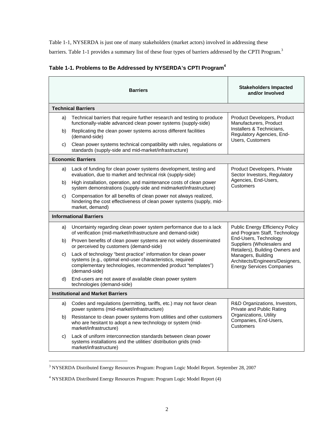Table 1-1, NYSERDA is just one of many stakeholders (market actors) involved in addressing these barriers. Table 1-1 provides a summary list of these four types of barriers addressed by the CPTI Program.<sup>3</sup>

|                                          | <b>Barriers</b>                                                                                                                                                                                              | <b>Stakeholders Impacted</b><br>and/or Involved                                           |  |
|------------------------------------------|--------------------------------------------------------------------------------------------------------------------------------------------------------------------------------------------------------------|-------------------------------------------------------------------------------------------|--|
|                                          | <b>Technical Barriers</b>                                                                                                                                                                                    |                                                                                           |  |
| a)                                       | Technical barriers that require further research and testing to produce<br>functionally-viable advanced clean power systems (supply-side)                                                                    | Product Developers, Product<br>Manufacturers, Product                                     |  |
| b)                                       | Replicating the clean power systems across different facilities<br>(demand-side)                                                                                                                             | Installers & Technicians,<br>Regulatory Agencies, End-<br>Users, Customers                |  |
| C)                                       | Clean power systems technical compatibility with rules, regulations or<br>standards (supply-side and mid-market/infrastructure)                                                                              |                                                                                           |  |
|                                          | <b>Economic Barriers</b>                                                                                                                                                                                     |                                                                                           |  |
| a)                                       | Lack of funding for clean power systems development, testing and<br>evaluation, due to market and technical risk (supply-side)                                                                               | Product Developers, Private<br>Sector Investors, Regulatory                               |  |
| b)                                       | High installation, operation, and maintenance costs of clean power<br>system demonstrations (supply-side and midmarket/infrastructure)                                                                       | Agencies, End-Users,<br>Customers                                                         |  |
| C)                                       | Compensation for all benefits of clean power not always realized,<br>hindering the cost effectiveness of clean power systems (supply, mid-<br>market, demand)                                                |                                                                                           |  |
|                                          | <b>Informational Barriers</b>                                                                                                                                                                                |                                                                                           |  |
| a)                                       | Uncertainty regarding clean power system performance due to a lack<br>of verification (mid-market/infrastructure and demand-side)                                                                            | Public Energy Efficiency Policy<br>and Program Staff, Technology                          |  |
| b)                                       | Proven benefits of clean power systems are not widely disseminated<br>or perceived by customers (demand-side)                                                                                                | End-Users, Technology<br>Suppliers (Wholesalers and<br>Retailers), Building Owners and    |  |
| C)                                       | Lack of technology "best practice" information for clean power<br>systems (e.g., optimal end-user characteristics, required<br>complementary technologies, recommended product "templates")<br>(demand-side) | Managers, Building<br>Architects/Engineers/Designers,<br><b>Energy Services Companies</b> |  |
| d)                                       | End-users are not aware of available clean power system<br>technologies (demand-side)                                                                                                                        |                                                                                           |  |
| <b>Institutional and Market Barriers</b> |                                                                                                                                                                                                              |                                                                                           |  |
| a)                                       | Codes and regulations (permitting, tariffs, etc.) may not favor clean<br>power systems (mid-market/infrastructure)                                                                                           | R&D Organizations, Investors,<br>Private and Public Rating                                |  |
| b)                                       | Resistance to clean power systems from utilities and other customers<br>who are hesitant to adopt a new technology or system (mid-<br>market/infrastructure)                                                 | Organizations, Utility<br>Companies, End-Users,<br>Customers                              |  |
| C)                                       | Lack of uniform interconnection standards between clean power<br>systems installations and the utilities' distribution grids (mid-<br>market/infrastructure)                                                 |                                                                                           |  |

### **Table 1-1. Problems to Be Addressed by NYSERDA's CPTI Program<sup>4</sup>**

 3 NYSERDA Distributed Energy Resources Program: Program Logic Model Report. September 28, 2007

<sup>&</sup>lt;sup>4</sup> NYSERDA Distributed Energy Resources Program: Program Logic Model Report (4)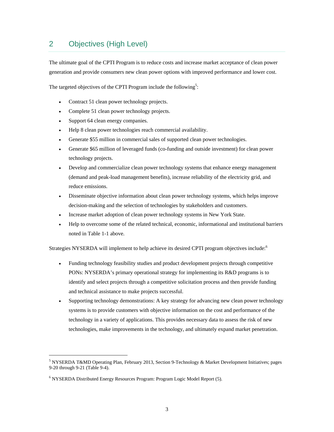## 2 Objectives (High Level)

The ultimate goal of the CPTI Program is to reduce costs and increase market acceptance of clean power generation and provide consumers new clean power options with improved performance and lower cost.

The targeted objectives of the CPTI Program include the following<sup>5</sup>:

- Contract 51 clean power technology projects.
- Complete 51 clean power technology projects.
- Support 64 clean energy companies.
- Help 8 clean power technologies reach commercial availability.
- Generate \$55 million in commercial sales of supported clean power technologies.
- Generate \$65 million of leveraged funds (co-funding and outside investment) for clean power technology projects.
- Develop and commercialize clean power technology systems that enhance energy management (demand and peak-load management benefits), increase reliability of the electricity grid, and reduce emissions.
- Disseminate objective information about clean power technology systems, which helps improve decision-making and the selection of technologies by stakeholders and customers.
- Increase market adoption of clean power technology systems in New York State.
- Help to overcome some of the related technical, economic, informational and institutional barriers noted in Table 1-1 above.

Strategies NYSERDA will implement to help achieve its desired CPTI program objectives include:<sup>6</sup>

- Funding technology feasibility studies and product development projects through competitive PONs: NYSERDA's primary operational strategy for implementing its R&D programs is to identify and select projects through a competitive solicitation process and then provide funding and technical assistance to make projects successful.
- Supporting technology demonstrations: A key strategy for advancing new clean power technology technologies, make improvements in the technology, and ultimately expand market penetration. systems is to provide customers with objective information on the cost and performance of the technology in a variety of applications. This provides necessary data to assess the risk of new

<sup>&</sup>lt;sup>5</sup> NYSERDA T&MD Operating Plan, February 2013, Section 9-Technology & Market Development Initiatives; pages 9-20 through 9-21 (Table 9-4).

<sup>&</sup>lt;sup>6</sup> NYSERDA Distributed Energy Resources Program: Program Logic Model Report (5).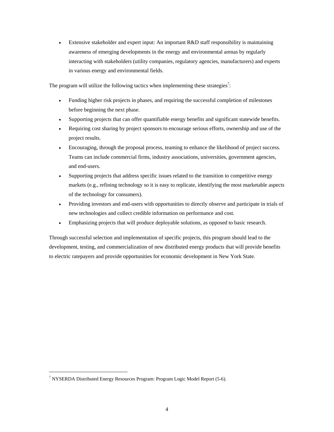Extensive stakeholder and expert input: An important R&D staff responsibility is maintaining awareness of emerging developments in the energy and environmental arenas by regularly interacting with stakeholders (utility companies, regulatory agencies, manufacturers) and experts in various energy and environmental fields.

The program will utilize the following tactics when implementing these strategies<sup>7</sup>:

- Funding higher risk projects in phases, and requiring the successful completion of milestones before beginning the next phase.
- Supporting projects that can offer quantifiable energy benefits and significant statewide benefits.
- Requiring cost sharing by project sponsors to encourage serious efforts, ownership and use of the project results.
- Encouraging, through the proposal process, teaming to enhance the likelihood of project success. Teams can include commercial firms, industry associations, universities, government agencies, and end-users.
- Supporting projects that address specific issues related to the transition to competitive energy markets (e.g., refining technology so it is easy to replicate, identifying the most marketable aspects of the technology for consumers).
- Providing investors and end-users with opportunities to directly observe and participate in trials of new technologies and collect credible information on performance and cost.
- Emphasizing projects that will produce deployable solutions, as opposed to basic research.

Through successful selection and implementation of specific projects, this program should lead to the development, testing, and commercialization of new distributed energy products that will provide benefits to electric ratepayers and provide opportunities for economic development in New York State.

<sup>&</sup>lt;sup>7</sup> NYSERDA Distributed Energy Resources Program: Program Logic Model Report (5-6).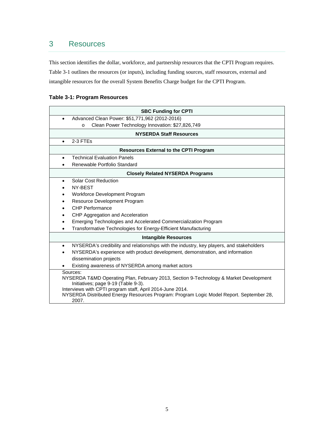## 3 Resources

 intangible resources for the overall System Benefits Charge budget for the CPTI Program. This section identifies the dollar, workforce, and partnership resources that the CPTI Program requires. Table 3-1 outlines the resources (or inputs), including funding sources, staff resources, external and

|  |  |  | Table 3-1: Program Resources |
|--|--|--|------------------------------|
|--|--|--|------------------------------|

| <b>SBC Funding for CPTI</b>                                                                           |  |  |
|-------------------------------------------------------------------------------------------------------|--|--|
| Advanced Clean Power: \$51,771,962 (2012-2016)<br>$\bullet$                                           |  |  |
| Clean Power Technology Innovation: \$27,826,749<br>$\circ$                                            |  |  |
| <b>NYSERDA Staff Resources</b>                                                                        |  |  |
| 2-3 FTEs<br>$\bullet$                                                                                 |  |  |
| <b>Resources External to the CPTI Program</b>                                                         |  |  |
| <b>Technical Evaluation Panels</b><br>$\bullet$                                                       |  |  |
| Renewable Portfolio Standard                                                                          |  |  |
| <b>Closely Related NYSERDA Programs</b>                                                               |  |  |
| Solar Cost Reduction<br>$\bullet$                                                                     |  |  |
| NY-BEST                                                                                               |  |  |
| Workforce Development Program                                                                         |  |  |
| Resource Development Program                                                                          |  |  |
| CHP Performance                                                                                       |  |  |
| CHP Aggregation and Acceleration                                                                      |  |  |
| Emerging Technologies and Accelerated Commercialization Program                                       |  |  |
| Transformative Technologies for Energy-Efficient Manufacturing                                        |  |  |
| <b>Intangible Resources</b>                                                                           |  |  |
| NYSERDA's credibility and relationships with the industry, key players, and stakeholders<br>$\bullet$ |  |  |
| NYSERDA's experience with product development, demonstration, and information<br>$\bullet$            |  |  |
| dissemination projects                                                                                |  |  |
| Existing awareness of NYSERDA among market actors                                                     |  |  |
| Sources:<br>NYSERDA T&MD Operating Plan, February 2013, Section 9-Technology & Market Development     |  |  |
| Initiatives; page 9-19 (Table 9-3).<br>Interviews with CPTI program staff, April 2014-June 2014.      |  |  |
| NYSERDA Distributed Energy Resources Program: Program Logic Model Report. September 28,<br>2007.      |  |  |
|                                                                                                       |  |  |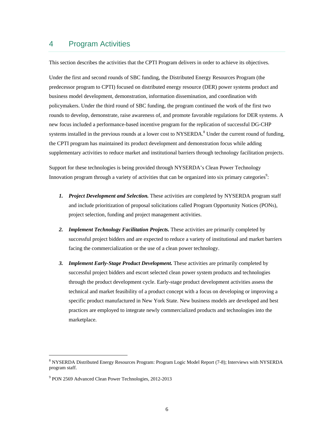### 4 Program Activities

This section describes the activities that the CPTI Program delivers in order to achieve its objectives.

 Under the first and second rounds of SBC funding, the Distributed Energy Resources Program (the systems installed in the previous rounds at a lower cost to NYSERDA.<sup>8</sup> Under the current round of funding, the CPTI program has maintained its product development and demonstration focus while adding supplementary activities to reduce market and institutional barriers through technology facilitation projects. predecessor program to CPTI) focused on distributed energy resource (DER) power systems product and business model development, demonstration, information dissemination, and coordination with policymakers. Under the third round of SBC funding, the program continued the work of the first two rounds to develop, demonstrate, raise awareness of, and promote favorable regulations for DER systems. A new focus included a performance-based incentive program for the replication of successful DG-CHP

Support for these technologies is being provided through NYSERDA's Clean Power Technology Innovation program through a variety of activities that can be organized into six primary categories<sup>9</sup>:

- project selection, funding and project management activities. *1.* Project Development and Selection. These activities are completed by NYSERDA program staff and include prioritization of proposal solicitations called Program Opportunity Notices (PONs),
- *2. Implement Technology Facilitation Projects.* These activities are primarily completed by successful project bidders and are expected to reduce a variety of institutional and market barriers facing the commercialization or the use of a clean power technology.
- *3. Implement Early-Stage Product Development.* These activities are primarily completed by specific product manufactured in New York State. New business models are developed and best successful project bidders and escort selected clean power system products and technologies through the product development cycle. Early-stage product development activities assess the technical and market feasibility of a product concept with a focus on developing or improving a practices are employed to integrate newly commercialized products and technologies into the marketplace.

<sup>&</sup>lt;sup>8</sup> NYSERDA Distributed Energy Resources Program: Program Logic Model Report (7-8); Interviews with NYSERDA program staff.

<sup>&</sup>lt;sup>9</sup> PON 2569 Advanced Clean Power Technologies, 2012-2013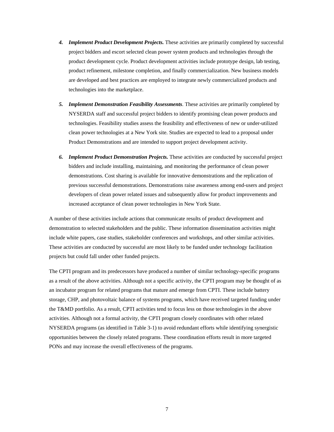- *4. Implement Product Development Projects.* These activities are primarily completed by successful project bidders and escort selected clean power system products and technologies through the product development cycle. Product development activities include prototype design, lab testing, product refinement, milestone completion, and finally commercialization. New business models are developed and best practices are employed to integrate newly commercialized products and technologies into the marketplace.
- *5. Implement Demonstration Feasibility Assessments*. These activities are primarily completed by NYSERDA staff and successful project bidders to identify promising clean power products and technologies. Feasibility studies assess the feasibility and effectiveness of new or under-utilized clean power technologies at a New York site. Studies are expected to lead to a proposal under Product Demonstrations and are intended to support project development activity.
- *6. Implement Product Demonstration Projects.* These activities are conducted by successful project bidders and include installing, maintaining, and monitoring the performance of clean power demonstrations. Cost sharing is available for innovative demonstrations and the replication of previous successful demonstrations. Demonstrations raise awareness among end-users and project developers of clean power related issues and subsequently allow for product improvements and increased acceptance of clean power technologies in New York State.

A number of these activities include actions that communicate results of product development and demonstration to selected stakeholders and the public. These information dissemination activities might include white papers, case studies, stakeholder conferences and workshops, and other similar activities. These activities are conducted by successful are most likely to be funded under technology facilitation projects but could fall under other funded projects.

The CPTI program and its predecessors have produced a number of similar technology-specific programs as a result of the above activities. Although not a specific activity, the CPTI program may be thought of as an incubator program for related programs that mature and emerge from CPTI. These include battery storage, CHP, and photovoltaic balance of systems programs, which have received targeted funding under the T&MD portfolio. As a result, CPTI activities tend to focus less on those technologies in the above activities. Although not a formal activity, the CPTI program closely coordinates with other related NYSERDA programs (as identified in Table 3-1) to avoid redundant efforts while identifying synergistic opportunities between the closely related programs. These coordination efforts result in more targeted PONs and may increase the overall effectiveness of the programs.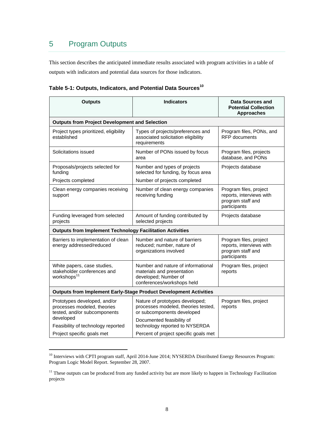## 5 Program Outputs

 This section describes the anticipated immediate results associated with program activities in a table of outputs with indicators and potential data sources for those indicators.

| <b>Outputs</b>                                                                                           | <b>Indicators</b>                                                                                                      | <b>Data Sources and</b><br><b>Potential Collection</b><br><b>Approaches</b>             |  |
|----------------------------------------------------------------------------------------------------------|------------------------------------------------------------------------------------------------------------------------|-----------------------------------------------------------------------------------------|--|
| <b>Outputs from Project Development and Selection</b>                                                    |                                                                                                                        |                                                                                         |  |
| Project types prioritized, eligibility<br>established                                                    | Types of projects/preferences and<br>associated solicitation eligibility<br>requirements                               | Program files, PONs, and<br><b>RFP</b> documents                                        |  |
| Solicitations issued                                                                                     | Number of PONs issued by focus<br>area                                                                                 | Program files, projects<br>database, and PONs                                           |  |
| Proposals/projects selected for<br>funding                                                               | Number and types of projects<br>selected for funding, by focus area                                                    | Projects database                                                                       |  |
| Projects completed                                                                                       | Number of projects completed                                                                                           |                                                                                         |  |
| Clean energy companies receiving<br>support                                                              | Number of clean energy companies<br>receiving funding                                                                  | Program files, project<br>reports, interviews with<br>program staff and<br>participants |  |
| Funding leveraged from selected<br>projects                                                              | Amount of funding contributed by<br>selected projects                                                                  | Projects database                                                                       |  |
| <b>Outputs from Implement Technology Facilitation Activities</b>                                         |                                                                                                                        |                                                                                         |  |
| Barriers to implementation of clean<br>energy addressed/reduced                                          | Number and nature of barriers<br>reduced; number, nature of<br>organizations involved                                  | Program files, project<br>reports, interviews with<br>program staff and<br>participants |  |
| White papers, case studies,<br>stakeholder conferences and<br>workshops <sup>11</sup>                    | Number and nature of informational<br>materials and presentation<br>developed; Number of<br>conferences/workshops held | Program files, project<br>reports                                                       |  |
| Outputs from Implement Early-Stage Product Development Activities                                        |                                                                                                                        |                                                                                         |  |
| Prototypes developed, and/or<br>processes modeled, theories<br>tested, and/or subcomponents<br>developed | Nature of prototypes developed;<br>processes modeled, theories tested,<br>or subcomponents developed                   | Program files, project<br>reports                                                       |  |
| Feasibility of technology reported                                                                       | Documented feasibility of<br>technology reported to NYSERDA                                                            |                                                                                         |  |
| Project specific goals met                                                                               | Percent of project specific goals met                                                                                  |                                                                                         |  |

|  |  | Table 5-1: Outputs, Indicators, and Potential Data Sources <sup>10</sup> |  |  |
|--|--|--------------------------------------------------------------------------|--|--|
|--|--|--------------------------------------------------------------------------|--|--|

<sup>&</sup>lt;sup>10</sup> Interviews with CPTI program staff, April 2014-June 2014; NYSERDA Distributed Energy Resources Program: Program Logic Model Report. September 28, 2007.

<sup>&</sup>lt;sup>11</sup> These outputs can be produced from any funded activity but are more likely to happen in Technology Facilitation projects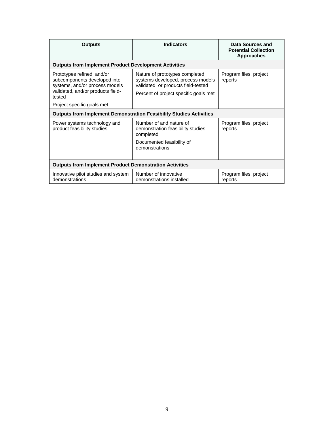| <b>Outputs</b>                                                                                                                    | <b>Indicators</b>                                                                                           | Data Sources and<br><b>Potential Collection</b><br><b>Approaches</b> |  |
|-----------------------------------------------------------------------------------------------------------------------------------|-------------------------------------------------------------------------------------------------------------|----------------------------------------------------------------------|--|
| <b>Outputs from Implement Product Development Activities</b>                                                                      |                                                                                                             |                                                                      |  |
| Prototypes refined, and/or<br>subcomponents developed into<br>systems, and/or process models<br>validated, and/or products field- | Nature of prototypes completed,<br>systems developed, process models<br>validated, or products field-tested | Program files, project<br>reports                                    |  |
| tested                                                                                                                            | Percent of project specific goals met                                                                       |                                                                      |  |
| Project specific goals met                                                                                                        |                                                                                                             |                                                                      |  |
| <b>Outputs from Implement Demonstration Feasibility Studies Activities</b>                                                        |                                                                                                             |                                                                      |  |
| Power systems technology and<br>product feasibility studies                                                                       | Number of and nature of<br>demonstration feasibility studies<br>completed                                   | Program files, project<br>reports                                    |  |
|                                                                                                                                   | Documented feasibility of<br>demonstrations                                                                 |                                                                      |  |
| <b>Outputs from Implement Product Demonstration Activities</b>                                                                    |                                                                                                             |                                                                      |  |
| Innovative pilot studies and system<br>demonstrations                                                                             | Number of innovative<br>demonstrations installed                                                            | Program files, project<br>reports                                    |  |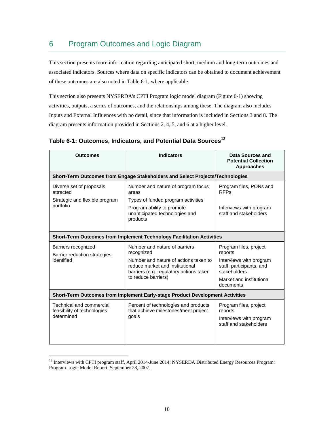## 6 Program Outcomes and Logic Diagram

This section presents more information regarding anticipated short, medium and long-term outcomes and associated indicators. Sources where data on specific indicators can be obtained to document achievement of these outcomes are also noted in Table 6-1, where applicable.

This section also presents NYSERDA's CPTI Program logic model diagram (Figure 6-1) showing activities, outputs, a series of outcomes, and the relationships among these. The diagram also includes Inputs and External Influences with no detail, since that information is included in Sections 3 and 8. The diagram presents information provided in Sections 2, 4, 5, and 6 at a higher level.

| <b>Outcomes</b>                                                               | <b>Indicators</b>                                                                                                                          | Data Sources and<br><b>Potential Collection</b><br><b>Approaches</b> |  |
|-------------------------------------------------------------------------------|--------------------------------------------------------------------------------------------------------------------------------------------|----------------------------------------------------------------------|--|
|                                                                               | Short-Term Outcomes from Engage Stakeholders and Select Projects/Technologies                                                              |                                                                      |  |
| Diverse set of proposals<br>attracted<br>Strategic and flexible program       | Number and nature of program focus<br>areas<br>Types of funded program activities                                                          | Program files, PONs and<br><b>RFPs</b>                               |  |
| portfolio                                                                     | Program ability to promote<br>unanticipated technologies and<br>products                                                                   | Interviews with program<br>staff and stakeholders                    |  |
| Short-Term Outcomes from Implement Technology Facilitation Activities         |                                                                                                                                            |                                                                      |  |
| Barriers recognized<br>Barrier reduction strategies                           | Number and nature of barriers<br>recognized                                                                                                | Program files, project<br>reports                                    |  |
| identified                                                                    | Number and nature of actions taken to<br>reduce market and institutional<br>barriers (e.g. regulatory actions taken<br>to reduce barriers) | Interviews with program<br>staff, participants, and<br>stakeholders  |  |
|                                                                               |                                                                                                                                            | Market and institutional<br>documents                                |  |
| Short-Term Outcomes from Implement Early-stage Product Development Activities |                                                                                                                                            |                                                                      |  |
| Technical and commercial<br>feasibility of technologies                       | Percent of technologies and products<br>that achieve milestones/meet project<br>goals                                                      | Program files, project<br>reports                                    |  |
| determined                                                                    |                                                                                                                                            | Interviews with program<br>staff and stakeholders                    |  |
|                                                                               |                                                                                                                                            |                                                                      |  |

#### Table 6-1: Outcomes, Indicators, and Potential Data Sources<sup>12</sup>

<sup>&</sup>lt;sup>12</sup> Interviews with CPTI program staff, April 2014-June 2014; NYSERDA Distributed Energy Resources Program: Program Logic Model Report. September 28, 2007.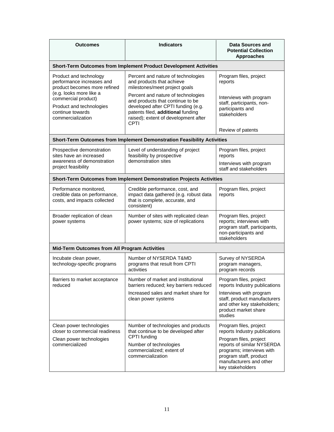| <b>Outcomes</b>                                                                                                     | <b>Indicators</b>                                                                                                                                                                                        | Data Sources and<br><b>Potential Collection</b><br><b>Approaches</b>                                                                                       |  |
|---------------------------------------------------------------------------------------------------------------------|----------------------------------------------------------------------------------------------------------------------------------------------------------------------------------------------------------|------------------------------------------------------------------------------------------------------------------------------------------------------------|--|
|                                                                                                                     | Short-Term Outcomes from Implement Product Development Activities                                                                                                                                        |                                                                                                                                                            |  |
| Product and technology<br>performance increases and<br>product becomes more refined                                 | Percent and nature of technologies<br>and products that achieve<br>milestones/meet project goals                                                                                                         | Program files, project<br>reports                                                                                                                          |  |
| (e.g. looks more like a<br>commercial product)<br>Product and technologies<br>continue towards<br>commercialization | Percent and nature of technologies<br>and products that continue to be<br>developed after CPTI funding (e.g.<br>patents filed, additional funding<br>raised); extent of development after<br><b>CPTI</b> | Interviews with program<br>staff, participants, non-<br>participants and<br>stakeholders<br>Review of patents                                              |  |
|                                                                                                                     | Short-Term Outcomes from Implement Demonstration Feasibility Activities                                                                                                                                  |                                                                                                                                                            |  |
| Prospective demonstration<br>sites have an increased                                                                | Level of understanding of project<br>feasibility by prospective                                                                                                                                          | Program files, project<br>reports                                                                                                                          |  |
| awareness of demonstration<br>project feasibility                                                                   | demonstration sites                                                                                                                                                                                      | Interviews with program<br>staff and stakeholders                                                                                                          |  |
| Short-Term Outcomes from Implement Demonstration Projects Activities                                                |                                                                                                                                                                                                          |                                                                                                                                                            |  |
| Performance monitored.<br>credible data on performance,<br>costs, and impacts collected                             | Credible performance, cost, and<br>impact data gathered (e.g. robust data<br>that is complete, accurate, and<br>consistent)                                                                              | Program files, project<br>reports                                                                                                                          |  |
| Broader replication of clean<br>power systems                                                                       | Number of sites with replicated clean<br>power systems; size of replications                                                                                                                             | Program files, project<br>reports; interviews with<br>program staff, participants,<br>non-participants and<br>stakeholders                                 |  |
| <b>Mid-Term Outcomes from All Program Activities</b>                                                                |                                                                                                                                                                                                          |                                                                                                                                                            |  |
| Incubate clean power,<br>technology-specific programs                                                               | Number of NYSERDA T&MD<br>programs that result from CPTI<br>activities                                                                                                                                   | Survey of NYSERDA<br>program managers,<br>program records                                                                                                  |  |
| Barriers to market acceptance<br>reduced                                                                            | Number of market and institutional<br>barriers reduced; key barriers reduced                                                                                                                             | Program files, project<br>reports Industry publications                                                                                                    |  |
|                                                                                                                     | Increased sales and market share for<br>clean power systems                                                                                                                                              | Interviews with program<br>staff, product manufacturers<br>and other key stakeholders;<br>product market share<br>studies                                  |  |
| Clean power technologies<br>closer to commercial readiness                                                          | Number of technologies and products<br>that continue to be developed after                                                                                                                               | Program files, project<br>reports Industry publications                                                                                                    |  |
| Clean power technologies<br>commercialized                                                                          | CPTI funding<br>Number of technologies<br>commercialized; extent of<br>commercialization                                                                                                                 | Program files, project<br>reports of similar NYSERDA<br>programs; interviews with<br>program staff, product<br>manufacturers and other<br>key stakeholders |  |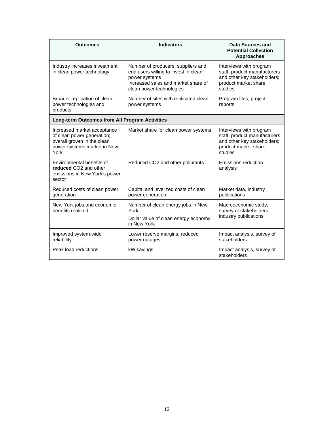| <b>Outcomes</b>                                                                                                                 | <b>Indicators</b>                                                                                                                                              | Data Sources and<br><b>Potential Collection</b><br><b>Approaches</b>                                                      |  |  |  |
|---------------------------------------------------------------------------------------------------------------------------------|----------------------------------------------------------------------------------------------------------------------------------------------------------------|---------------------------------------------------------------------------------------------------------------------------|--|--|--|
| Industry increases investment<br>in clean power technology                                                                      | Number of producers, suppliers and<br>end users willing to invest in clean<br>power systems<br>Increased sales and market share of<br>clean power technologies | Interviews with program<br>staff, product manufacturers<br>and other key stakeholders;<br>product market share<br>studies |  |  |  |
| Broader replication of clean<br>power technologies and<br>products                                                              | Number of sites with replicated clean<br>power systems                                                                                                         | Program files, project<br>reports                                                                                         |  |  |  |
|                                                                                                                                 | <b>Long-term Outcomes from All Program Activities</b>                                                                                                          |                                                                                                                           |  |  |  |
| Increased market acceptance<br>of clean power generation;<br>overall growth in the clean<br>power systems market in New<br>York | Market share for clean power systems                                                                                                                           | Interviews with program<br>staff, product manufacturers<br>and other key stakeholders;<br>product market share<br>studies |  |  |  |
| Environmental benefits of<br>reduced CO <sub>2</sub> and other<br>emissions in New York's power<br>sector                       | Reduced CO2 and other pollutants                                                                                                                               | Emissions reduction<br>analysis                                                                                           |  |  |  |
| Reduced costs of clean power<br>generation                                                                                      | Capital and levelized costs of clean<br>power generation                                                                                                       | Market data, industry<br>publications                                                                                     |  |  |  |
| New York jobs and economic<br>benefits realized                                                                                 | Number of clean energy jobs in New<br>York<br>Dollar value of clean energy economy<br>in New York                                                              | Macroeconomic study,<br>survey of stakeholders,<br>industry publications                                                  |  |  |  |
| Improved system-wide<br>reliability                                                                                             | Lower reserve margins, reduced<br>power outages                                                                                                                | Impact analysis, survey of<br>stakeholders                                                                                |  |  |  |
| Peak load reductions                                                                                                            | kW savings                                                                                                                                                     | Impact analysis, survey of<br>stakeholders                                                                                |  |  |  |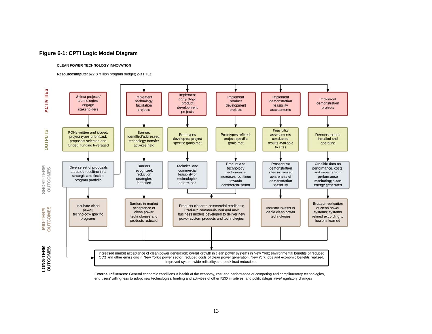#### **Figure 6-1: CPTI Logic Model Diagram**

#### **CLEAN POWER TECHNOLOGY INNOVATION**

Resources/Inputs: \$27.8 million program budget; 2-3 FTEs;



External Influences: General economic conditions & health of the economy, cost and performance of competing and complimentary technologies, end users' willingness to adopt new technologies, funding and activities of other R&D initiatives, and political/legislative/regulatory changes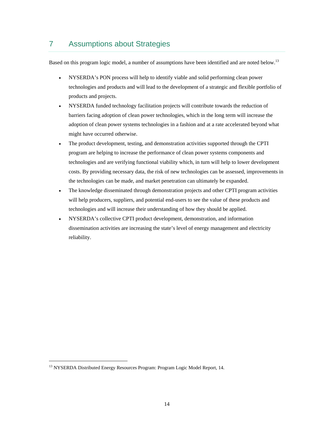## 7 Assumptions about Strategies

Based on this program logic model, a number of assumptions have been identified and are noted below.<sup>13</sup>

- NYSERDA's PON process will help to identify viable and solid performing clean power technologies and products and will lead to the development of a strategic and flexible portfolio of products and projects.
- NYSERDA funded technology facilitation projects will contribute towards the reduction of barriers facing adoption of clean power technologies, which in the long term will increase the adoption of clean power systems technologies in a fashion and at a rate accelerated beyond what might have occurred otherwise.
- The product development, testing, and demonstration activities supported through the CPTI program are helping to increase the performance of clean power systems components and technologies and are verifying functional viability which, in turn will help to lower development costs. By providing necessary data, the risk of new technologies can be assessed, improvements in the technologies can be made, and market penetration can ultimately be expanded.
- The knowledge disseminated through demonstration projects and other CPTI program activities will help producers, suppliers, and potential end-users to see the value of these products and technologies and will increase their understanding of how they should be applied.
- NYSERDA's collective CPTI product development, demonstration, and information dissemination activities are increasing the state's level of energy management and electricity reliability.

<sup>&</sup>lt;sup>13</sup> NYSERDA Distributed Energy Resources Program: Program Logic Model Report, 14.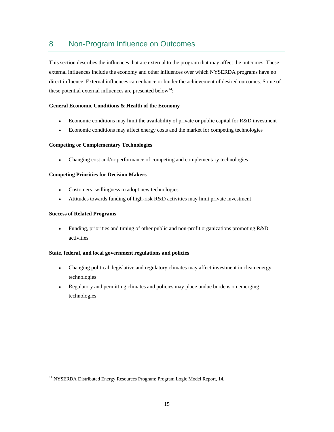## 8 Non-Program Influence on Outcomes

This section describes the influences that are external to the program that may affect the outcomes. These external influences include the economy and other influences over which NYSERDA programs have no direct influence. External influences can enhance or hinder the achievement of desired outcomes. Some of these potential external influences are presented below<sup>14</sup>:

#### **General Economic Conditions & Health of the Economy**

- Economic conditions may limit the availability of private or public capital for R&D investment
- Economic conditions may affect energy costs and the market for competing technologies

#### **Competing or Complementary Technologies**

• Changing cost and/or performance of competing and complementary technologies

#### **Competing Priorities for Decision Makers**

- Customers' willingness to adopt new technologies
- Attitudes towards funding of high-risk R&D activities may limit private investment

#### **Success of Related Programs**

 Funding, priorities and timing of other public and non-profit organizations promoting R&D activities

#### **State, federal, and local government regulations and policies**

- Changing political, legislative and regulatory climates may affect investment in clean energy technologies
- Regulatory and permitting climates and policies may place undue burdens on emerging technologies

<sup>&</sup>lt;sup>14</sup> NYSERDA Distributed Energy Resources Program: Program Logic Model Report, 14.